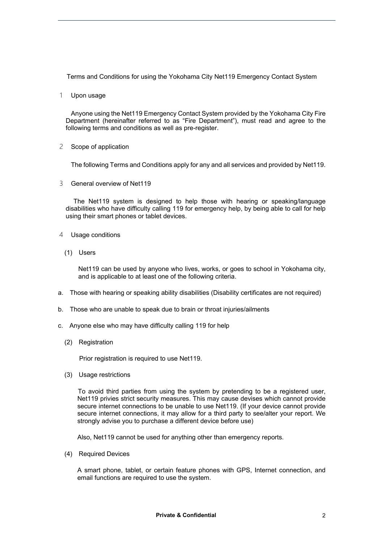Terms and Conditions for using the Yokohama City Net119 Emergency Contact System

1 Upon usage

 Anyone using the Net119 Emergency Contact System provided by the Yokohama City Fire Department (hereinafter referred to as "Fire Department"), must read and agree to the following terms and conditions as well as pre-register.

2 Scope of application

The following Terms and Conditions apply for any and all services and provided by Net119.

3 General overview of Net119

 The Net119 system is designed to help those with hearing or speaking/language disabilities who have difficulty calling 119 for emergency help, by being able to call for help using their smart phones or tablet devices.

- Usage conditions
	- (1) Users

Net119 can be used by anyone who lives, works, or goes to school in Yokohama city, and is applicable to at least one of the following criteria.

- a. Those with hearing or speaking ability disabilities (Disability certificates are not required)
- b. Those who are unable to speak due to brain or throat injuries/ailments
- c. Anyone else who may have difficulty calling 119 for help
	- (2) Registration

Prior registration is required to use Net119.

(3) Usage restrictions

 To avoid third parties from using the system by pretending to be a registered user, Net119 privies strict security measures. This may cause devises which cannot provide secure internet connections to be unable to use Net119. (If your device cannot provide secure internet connections, it may allow for a third party to see/alter your report. We strongly advise you to purchase a different device before use)

Also, Net119 cannot be used for anything other than emergency reports.

(4) Required Devices

 A smart phone, tablet, or certain feature phones with GPS, Internet connection, and email functions are required to use the system.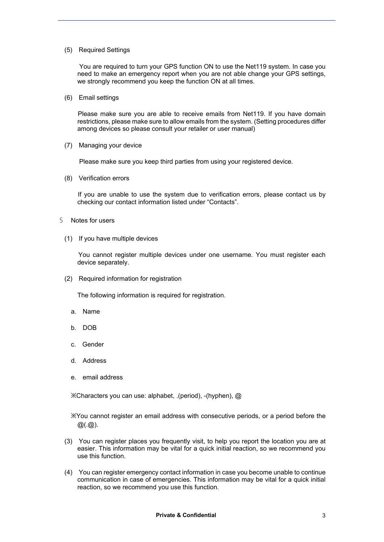## (5) Required Settings

 You are required to turn your GPS function ON to use the Net119 system. In case you need to make an emergency report when you are not able change your GPS settings, we strongly recommend you keep the function ON at all times.

(6) Email settings

 Please make sure you are able to receive emails from Net119. If you have domain restrictions, please make sure to allow emails from the system. (Setting procedures differ among devices so please consult your retailer or user manual)

(7) Managing your device

Please make sure you keep third parties from using your registered device.

(8) Verification errors

 If you are unable to use the system due to verification errors, please contact us by checking our contact information listed under "Contacts".

- 5 Notes for users
	- (1) If you have multiple devices

 You cannot register multiple devices under one username. You must register each device separately.

(2) Required information for registration

The following information is required for registration.

- a. Name
- b. DOB
- c. Gender
- d. Address
- e. email address

※Characters you can use: alphabet, .(period), -(hyphen), @

 ※You cannot register an email address with consecutive periods, or a period before the  $@(.@).$ 

- (3) You can register places you frequently visit, to help you report the location you are at easier. This information may be vital for a quick initial reaction, so we recommend you use this function.
- (4) You can register emergency contact information in case you become unable to continue communication in case of emergencies. This information may be vital for a quick initial reaction, so we recommend you use this function.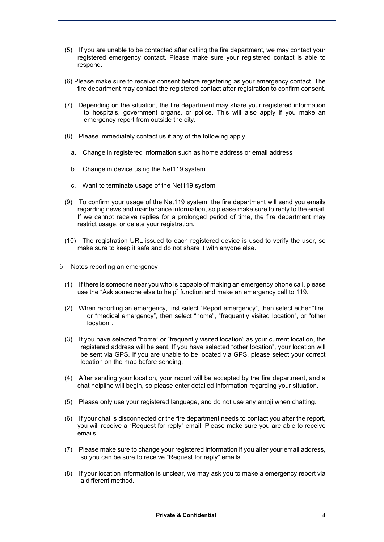- (5) If you are unable to be contacted after calling the fire department, we may contact your registered emergency contact. Please make sure your registered contact is able to respond.
- (6) Please make sure to receive consent before registering as your emergency contact. The fire department may contact the registered contact after registration to confirm consent.
- (7) Depending on the situation, the fire department may share your registered information to hospitals, government organs, or police. This will also apply if you make an emergency report from outside the city.
- (8) Please immediately contact us if any of the following apply.
	- a. Change in registered information such as home address or email address
	- b. Change in device using the Net119 system
	- c. Want to terminate usage of the Net119 system
- (9) To confirm your usage of the Net119 system, the fire department will send you emails regarding news and maintenance information, so please make sure to reply to the email. If we cannot receive replies for a prolonged period of time, the fire department may restrict usage, or delete your registration.
- (10) The registration URL issued to each registered device is used to verify the user, so make sure to keep it safe and do not share it with anyone else.
- 6 Notes reporting an emergency
	- (1) If there is someone near you who is capable of making an emergency phone call, please use the "Ask someone else to help" function and make an emergency call to 119.
	- (2) When reporting an emergency, first select "Report emergency", then select either "fire" or "medical emergency", then select "home", "frequently visited location", or "other location".
	- (3) If you have selected "home" or "frequently visited location" as your current location, the registered address will be sent. If you have selected "other location", your location will be sent via GPS. If you are unable to be located via GPS, please select your correct location on the map before sending.
	- (4) After sending your location, your report will be accepted by the fire department, and a chat helpline will begin, so please enter detailed information regarding your situation.
	- (5) Please only use your registered language, and do not use any emoji when chatting.
	- (6) If your chat is disconnected or the fire department needs to contact you after the report, you will receive a "Request for reply" email. Please make sure you are able to receive emails.
	- (7) Please make sure to change your registered information if you alter your email address, so you can be sure to receive "Request for reply" emails.
	- (8) If your location information is unclear, we may ask you to make a emergency report via a different method.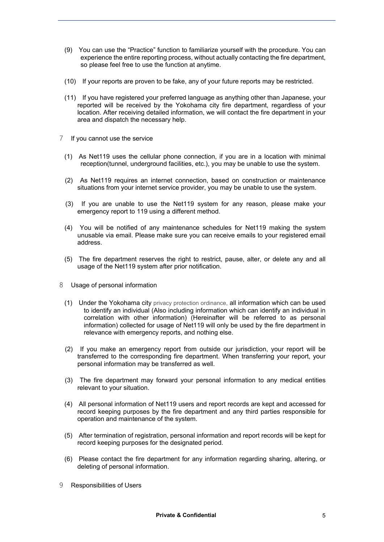- (9) You can use the "Practice" function to familiarize yourself with the procedure. You can experience the entire reporting process, without actually contacting the fire department, so please feel free to use the function at anytime.
- (10) If your reports are proven to be fake, any of your future reports may be restricted.
- (11) If you have registered your preferred language as anything other than Japanese, your reported will be received by the Yokohama city fire department, regardless of your location. After receiving detailed information, we will contact the fire department in your area and dispatch the necessary help.
- 7 If you cannot use the service
	- (1) As Net119 uses the cellular phone connection, if you are in a location with minimal reception(tunnel, underground facilities, etc.), you may be unable to use the system.
	- (2) As Net119 requires an internet connection, based on construction or maintenance situations from your internet service provider, you may be unable to use the system.
	- (3) If you are unable to use the Net119 system for any reason, please make your emergency report to 119 using a different method.
	- (4) You will be notified of any maintenance schedules for Net119 making the system unusable via email. Please make sure you can receive emails to your registered email address.
	- (5) The fire department reserves the right to restrict, pause, alter, or delete any and all usage of the Net119 system after prior notification.
- 8 Usage of personal information
	- (1) Under the Yokohama city privacy protection ordinance, all information which can be used to identify an individual (Also including information which can identify an individual in correlation with other information) (Hereinafter will be referred to as personal information) collected for usage of Net119 will only be used by the fire department in relevance with emergency reports, and nothing else.
	- (2) If you make an emergency report from outside our jurisdiction, your report will be transferred to the corresponding fire department. When transferring your report, your personal information may be transferred as well.
	- (3) The fire department may forward your personal information to any medical entities relevant to your situation.
	- (4) All personal information of Net119 users and report records are kept and accessed for record keeping purposes by the fire department and any third parties responsible for operation and maintenance of the system.
	- (5) After termination of registration, personal information and report records will be kept for record keeping purposes for the designated period.
	- (6) Please contact the fire department for any information regarding sharing, altering, or deleting of personal information.
- 9 Responsibilities of Users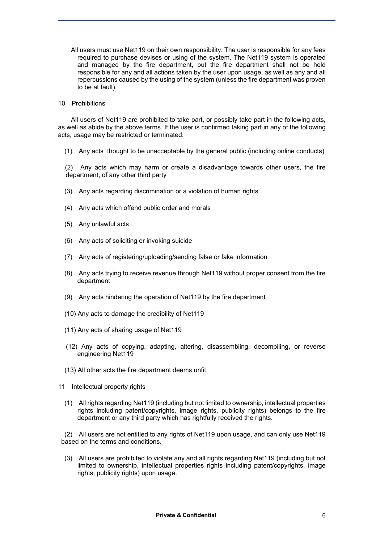- All users must use Net119 on their own responsibility. The user is responsible for any fees required to purchase devises or using of the system. The Net119 system is operated and managed by the fire department, but the fire department shall not be held responsible for any and all actions taken by the user upon usage, as well as any and all repercussions caused by the using of the system (unless the fire department was proven to be at fault).
- 10 Prohibitions

 All users of Net119 are prohibited to take part, or possibly take part in the following acts, as well as abide by the above terms. If the user is confirmed taking part in any of the following acts, usage may be restricted or terminated.

(1) Any acts thought to be unacceptable by the general public (including online conducts)

(2) Any acts which may harm or create a disadvantage towards other users, the fire department, of any other third party

- (3) Any acts regarding discrimination or a violation of human rights
- (4) Any acts which offend public order and morals
- (5) Any unlawful acts
- (6) Any acts of soliciting or invoking suicide
- (7) Any acts of registering/uploading/sending false or fake information
- (8) Any acts trying to receive revenue through Net119 without proper consent from the fire department
- (9) Any acts hindering the operation of Net119 by the fire department
- (10) Any acts to damage the credibility of Net119
- (11) Any acts of sharing usage of Net119
- (12) Any acts of copying, adapting, altering, disassembling, decompiling, or reverse engineering Net119
- (13) All other acts the fire department deems unfit
- 11 Intellectual property rights
	- (1) All rights regarding Net119 (including but not limited to ownership, intellectual properties rights including patent/copyrights, image rights, publicity rights) belongs to the fire department or any third party which has rightfully received the rights.

(2) All users are not entitled to any rights of Net119 upon usage, and can only use Net119 based on the terms and conditions.

(3) All users are prohibited to violate any and all rights regarding Net119 (including but not limited to ownership, intellectual properties rights including patent/copyrights, image rights, publicity rights) upon usage.